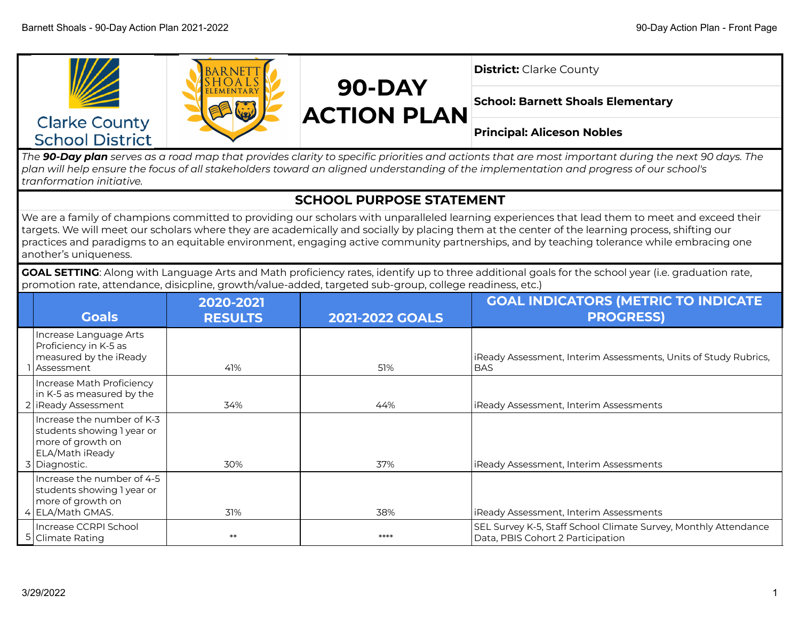

*The 90-Day plan serves as a road map that provides clarity to specific priorities and actionts that are most important during the next 90 days. The plan will help ensure the focus of all stakeholders toward an aligned understanding of the implementation and progress of our school's tranformation initiative.*

## **SCHOOL PURPOSE STATEMENT**

We are a family of champions committed to providing our scholars with unparalleled learning experiences that lead them to meet and exceed their targets. We will meet our scholars where they are academically and socially by placing them at the center of the learning process, shifting our practices and paradigms to an equitable environment, engaging active community partnerships, and by teaching tolerance while embracing one another's uniqueness.

**GOAL SETTING**: Along with Language Arts and Math proficiency rates, identify up to three additional goals for the school year (i.e. graduation rate, promotion rate, attendance, disicpline, growth/value-added, targeted sub-group, college readiness, etc.)

| <b>Goals</b>                                                                                                      | 2020-2021<br><b>RESULTS</b> | <b>2021-2022 GOALS</b> | <b>GOAL INDICATORS (METRIC TO INDICATE</b><br><b>PROGRESS)</b>                                       |
|-------------------------------------------------------------------------------------------------------------------|-----------------------------|------------------------|------------------------------------------------------------------------------------------------------|
| Increase Language Arts<br>Proficiency in K-5 as<br>measured by the iReady<br>Assessment                           | 41%                         | 51%                    | iReady Assessment, Interim Assessments, Units of Study Rubrics,<br><b>BAS</b>                        |
| Increase Math Proficiency<br>in K-5 as measured by the<br>2   iReady Assessment                                   | 34%                         | 44%                    | iReady Assessment, Interim Assessments                                                               |
| Increase the number of K-3<br>students showing 1 year or<br>more of growth on<br>ELA/Math iReady<br>3 Diagnostic. | 30%                         | 37%                    | iReady Assessment, Interim Assessments                                                               |
| Increase the number of 4-5<br>students showing 1 year or<br>more of growth on<br>4 ELA/Math GMAS.                 | 31%                         | 38%                    | iReady Assessment, Interim Assessments                                                               |
| Increase CCRPI School<br>5 Climate Rating                                                                         | $**$                        | ****                   | SEL Survey K-5, Staff School Climate Survey, Monthly Attendance<br>Data, PBIS Cohort 2 Participation |